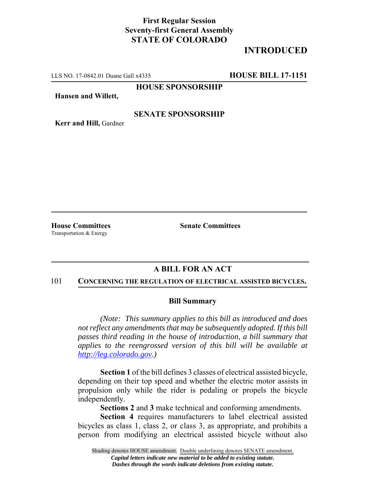# **First Regular Session Seventy-first General Assembly STATE OF COLORADO**

# **INTRODUCED**

LLS NO. 17-0842.01 Duane Gall x4335 **HOUSE BILL 17-1151**

**HOUSE SPONSORSHIP**

**Hansen and Willett,**

### **SENATE SPONSORSHIP**

**Kerr and Hill,** Gardner

Transportation & Energy

**House Committees Senate Committees** 

## **A BILL FOR AN ACT**

#### 101 **CONCERNING THE REGULATION OF ELECTRICAL ASSISTED BICYCLES.**

#### **Bill Summary**

*(Note: This summary applies to this bill as introduced and does not reflect any amendments that may be subsequently adopted. If this bill passes third reading in the house of introduction, a bill summary that applies to the reengrossed version of this bill will be available at http://leg.colorado.gov.)*

**Section 1** of the bill defines 3 classes of electrical assisted bicycle, depending on their top speed and whether the electric motor assists in propulsion only while the rider is pedaling or propels the bicycle independently.

**Sections 2** and **3** make technical and conforming amendments.

**Section 4** requires manufacturers to label electrical assisted bicycles as class 1, class 2, or class 3, as appropriate, and prohibits a person from modifying an electrical assisted bicycle without also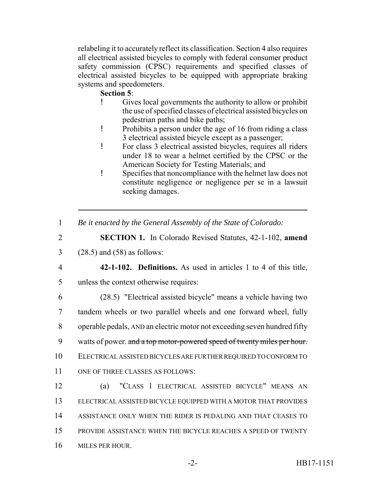relabeling it to accurately reflect its classification. Section 4 also requires all electrical assisted bicycles to comply with federal consumer product safety commission (CPSC) requirements and specified classes of electrical assisted bicycles to be equipped with appropriate braking systems and speedometers.

## **Section 5**:

- ! Gives local governments the authority to allow or prohibit the use of specified classes of electrical assisted bicycles on pedestrian paths and bike paths;
- ! Prohibits a person under the age of 16 from riding a class 3 electrical assisted bicycle except as a passenger;
- ! For class 3 electrical assisted bicycles, requires all riders under 18 to wear a helmet certified by the CPSC or the American Society for Testing Materials; and
- ! Specifies that noncompliance with the helmet law does not constitute negligence or negligence per se in a lawsuit seeking damages.
- 1 *Be it enacted by the General Assembly of the State of Colorado:*
- 2 **SECTION 1.** In Colorado Revised Statutes, 42-1-102, **amend**

3 (28.5) and (58) as follows:

4 **42-1-102. Definitions.** As used in articles 1 to 4 of this title, 5 unless the context otherwise requires:

 (28.5) "Electrical assisted bicycle" means a vehicle having two tandem wheels or two parallel wheels and one forward wheel, fully operable pedals, AND an electric motor not exceeding seven hundred fifty 9 watts of power. and a top motor-powered speed of twenty miles per hour. ELECTRICAL ASSISTED BICYCLES ARE FURTHER REQUIRED TO CONFORM TO ONE OF THREE CLASSES AS FOLLOWS:

 (a) "CLASS 1 ELECTRICAL ASSISTED BICYCLE" MEANS AN ELECTRICAL ASSISTED BICYCLE EQUIPPED WITH A MOTOR THAT PROVIDES ASSISTANCE ONLY WHEN THE RIDER IS PEDALING AND THAT CEASES TO PROVIDE ASSISTANCE WHEN THE BICYCLE REACHES A SPEED OF TWENTY MILES PER HOUR.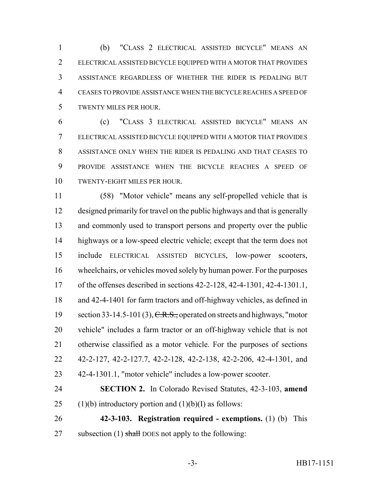(b) "CLASS 2 ELECTRICAL ASSISTED BICYCLE" MEANS AN ELECTRICAL ASSISTED BICYCLE EQUIPPED WITH A MOTOR THAT PROVIDES ASSISTANCE REGARDLESS OF WHETHER THE RIDER IS PEDALING BUT CEASES TO PROVIDE ASSISTANCE WHEN THE BICYCLE REACHES A SPEED OF TWENTY MILES PER HOUR.

 (c) "CLASS 3 ELECTRICAL ASSISTED BICYCLE" MEANS AN ELECTRICAL ASSISTED BICYCLE EQUIPPED WITH A MOTOR THAT PROVIDES ASSISTANCE ONLY WHEN THE RIDER IS PEDALING AND THAT CEASES TO PROVIDE ASSISTANCE WHEN THE BICYCLE REACHES A SPEED OF TWENTY-EIGHT MILES PER HOUR.

 (58) "Motor vehicle" means any self-propelled vehicle that is designed primarily for travel on the public highways and that is generally and commonly used to transport persons and property over the public highways or a low-speed electric vehicle; except that the term does not include ELECTRICAL ASSISTED BICYCLES, low-power scooters, wheelchairs, or vehicles moved solely by human power. For the purposes of the offenses described in sections 42-2-128, 42-4-1301, 42-4-1301.1, and 42-4-1401 for farm tractors and off-highway vehicles, as defined in 19 section 33-14.5-101 (3), C.R.S., operated on streets and highways, "motor vehicle" includes a farm tractor or an off-highway vehicle that is not otherwise classified as a motor vehicle. For the purposes of sections 42-2-127, 42-2-127.7, 42-2-128, 42-2-138, 42-2-206, 42-4-1301, and 42-4-1301.1, "motor vehicle" includes a low-power scooter.

 **SECTION 2.** In Colorado Revised Statutes, 42-3-103, **amend** 25 (1)(b) introductory portion and  $(1)(b)(I)$  as follows:

 **42-3-103. Registration required - exemptions.** (1) (b) This 27 subsection (1) shall DOES not apply to the following: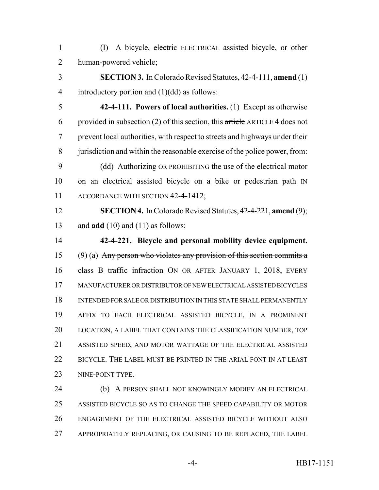(I) A bicycle, electric ELECTRICAL assisted bicycle, or other human-powered vehicle;

 **SECTION 3.** In Colorado Revised Statutes, 42-4-111, **amend** (1) introductory portion and (1)(dd) as follows:

 **42-4-111. Powers of local authorities.** (1) Except as otherwise 6 provided in subsection (2) of this section, this article ARTICLE 4 does not prevent local authorities, with respect to streets and highways under their jurisdiction and within the reasonable exercise of the police power, from: 9 (dd) Authorizing OR PROHIBITING the use of the electrical motor 10 on an electrical assisted bicycle on a bike or pedestrian path IN

11 ACCORDANCE WITH SECTION 42-4-1412;

 **SECTION 4.** In Colorado Revised Statutes, 42-4-221, **amend** (9); and **add** (10) and (11) as follows:

 **42-4-221. Bicycle and personal mobility device equipment.** 15 (9) (a) Any person who violates any provision of this section commits a 16 class B traffic infraction ON OR AFTER JANUARY 1, 2018, EVERY MANUFACTURER OR DISTRIBUTOR OF NEW ELECTRICAL ASSISTED BICYCLES INTENDED FOR SALE OR DISTRIBUTION IN THIS STATE SHALL PERMANENTLY AFFIX TO EACH ELECTRICAL ASSISTED BICYCLE, IN A PROMINENT LOCATION, A LABEL THAT CONTAINS THE CLASSIFICATION NUMBER, TOP ASSISTED SPEED, AND MOTOR WATTAGE OF THE ELECTRICAL ASSISTED BICYCLE. THE LABEL MUST BE PRINTED IN THE ARIAL FONT IN AT LEAST 23 NINE-POINT TYPE.

24 (b) A PERSON SHALL NOT KNOWINGLY MODIFY AN ELECTRICAL ASSISTED BICYCLE SO AS TO CHANGE THE SPEED CAPABILITY OR MOTOR ENGAGEMENT OF THE ELECTRICAL ASSISTED BICYCLE WITHOUT ALSO APPROPRIATELY REPLACING, OR CAUSING TO BE REPLACED, THE LABEL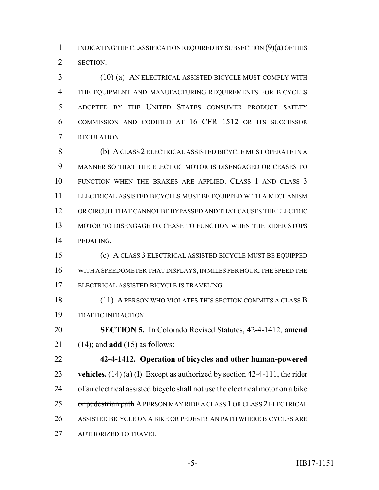1 INDICATING THE CLASSIFICATION REQUIRED BY SUBSECTION (9)(a) OF THIS SECTION.

 (10) (a) AN ELECTRICAL ASSISTED BICYCLE MUST COMPLY WITH THE EQUIPMENT AND MANUFACTURING REQUIREMENTS FOR BICYCLES ADOPTED BY THE UNITED STATES CONSUMER PRODUCT SAFETY COMMISSION AND CODIFIED AT 16 CFR 1512 OR ITS SUCCESSOR REGULATION.

 (b) A CLASS 2 ELECTRICAL ASSISTED BICYCLE MUST OPERATE IN A MANNER SO THAT THE ELECTRIC MOTOR IS DISENGAGED OR CEASES TO FUNCTION WHEN THE BRAKES ARE APPLIED. CLASS 1 AND CLASS 3 ELECTRICAL ASSISTED BICYCLES MUST BE EQUIPPED WITH A MECHANISM OR CIRCUIT THAT CANNOT BE BYPASSED AND THAT CAUSES THE ELECTRIC MOTOR TO DISENGAGE OR CEASE TO FUNCTION WHEN THE RIDER STOPS PEDALING.

 (c) A CLASS 3 ELECTRICAL ASSISTED BICYCLE MUST BE EQUIPPED WITH A SPEEDOMETER THAT DISPLAYS, IN MILES PER HOUR, THE SPEED THE ELECTRICAL ASSISTED BICYCLE IS TRAVELING.

 (11) A PERSON WHO VIOLATES THIS SECTION COMMITS A CLASS B TRAFFIC INFRACTION.

 **SECTION 5.** In Colorado Revised Statutes, 42-4-1412, **amend** (14); and **add** (15) as follows:

 **42-4-1412. Operation of bicycles and other human-powered vehicles.** (14) (a) (I) Except as authorized by section 42-4-111, the rider 24 of an electrical assisted bicycle shall not use the electrical motor on a bike 25 or pedestrian path A PERSON MAY RIDE A CLASS 1 OR CLASS 2 ELECTRICAL ASSISTED BICYCLE ON A BIKE OR PEDESTRIAN PATH WHERE BICYCLES ARE AUTHORIZED TO TRAVEL.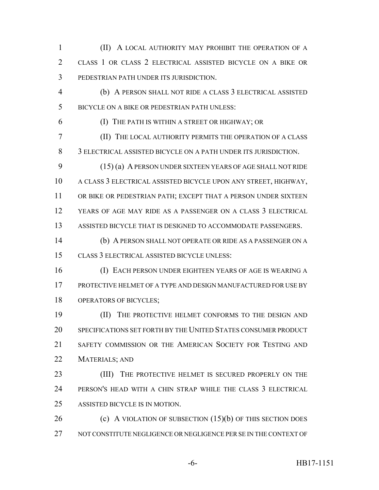(II) A LOCAL AUTHORITY MAY PROHIBIT THE OPERATION OF A CLASS 1 OR CLASS 2 ELECTRICAL ASSISTED BICYCLE ON A BIKE OR PEDESTRIAN PATH UNDER ITS JURISDICTION.

 (b) A PERSON SHALL NOT RIDE A CLASS 3 ELECTRICAL ASSISTED BICYCLE ON A BIKE OR PEDESTRIAN PATH UNLESS:

(I) THE PATH IS WITHIN A STREET OR HIGHWAY; OR

 (II) THE LOCAL AUTHORITY PERMITS THE OPERATION OF A CLASS 3 ELECTRICAL ASSISTED BICYCLE ON A PATH UNDER ITS JURISDICTION.

 (15) (a) A PERSON UNDER SIXTEEN YEARS OF AGE SHALL NOT RIDE A CLASS 3 ELECTRICAL ASSISTED BICYCLE UPON ANY STREET, HIGHWAY, OR BIKE OR PEDESTRIAN PATH; EXCEPT THAT A PERSON UNDER SIXTEEN YEARS OF AGE MAY RIDE AS A PASSENGER ON A CLASS 3 ELECTRICAL ASSISTED BICYCLE THAT IS DESIGNED TO ACCOMMODATE PASSENGERS.

 (b) A PERSON SHALL NOT OPERATE OR RIDE AS A PASSENGER ON A CLASS 3 ELECTRICAL ASSISTED BICYCLE UNLESS:

 (I) EACH PERSON UNDER EIGHTEEN YEARS OF AGE IS WEARING A PROTECTIVE HELMET OF A TYPE AND DESIGN MANUFACTURED FOR USE BY OPERATORS OF BICYCLES;

 (II) THE PROTECTIVE HELMET CONFORMS TO THE DESIGN AND SPECIFICATIONS SET FORTH BY THE UNITED STATES CONSUMER PRODUCT SAFETY COMMISSION OR THE AMERICAN SOCIETY FOR TESTING AND MATERIALS; AND

23 (III) THE PROTECTIVE HELMET IS SECURED PROPERLY ON THE PERSON'S HEAD WITH A CHIN STRAP WHILE THE CLASS 3 ELECTRICAL ASSISTED BICYCLE IS IN MOTION.

26 (c) A VIOLATION OF SUBSECTION (15)(b) OF THIS SECTION DOES NOT CONSTITUTE NEGLIGENCE OR NEGLIGENCE PER SE IN THE CONTEXT OF